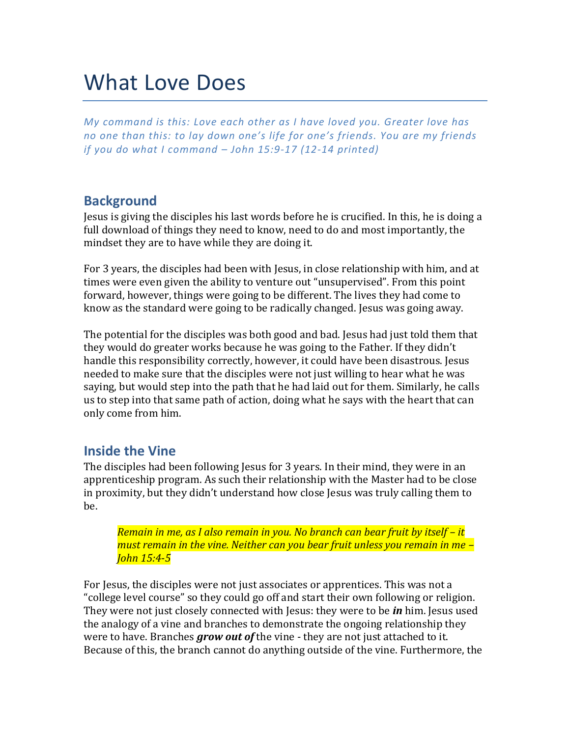# What Love Does

*My command is this: Love each other as I have loved you. Greater love has no one than this: to lay down one's life for one's friends. You are my friends if you do what I command – John 15:9-17 (12-14 printed)*

# **Background**

Jesus is giving the disciples his last words before he is crucified. In this, he is doing a full download of things they need to know, need to do and most importantly, the mindset they are to have while they are doing it.

For 3 years, the disciples had been with Jesus, in close relationship with him, and at times were even given the ability to venture out "unsupervised". From this point forward, however, things were going to be different. The lives they had come to know as the standard were going to be radically changed. Jesus was going away.

The potential for the disciples was both good and bad. Jesus had just told them that they would do greater works because he was going to the Father. If they didn't handle this responsibility correctly, however, it could have been disastrous. Jesus needed to make sure that the disciples were not just willing to hear what he was saying, but would step into the path that he had laid out for them. Similarly, he calls us to step into that same path of action, doing what he says with the heart that can only come from him.

#### **Inside the Vine**

The disciples had been following Jesus for 3 years. In their mind, they were in an apprenticeship program. As such their relationship with the Master had to be close in proximity, but they didn't understand how close Jesus was truly calling them to be.

*Remain in me, as I also remain in you. No branch can bear fruit by itself – it must remain in the vine. Neither can you bear fruit unless you remain in me – John 15:4-5*

For Jesus, the disciples were not just associates or apprentices. This was not a "college level course" so they could go off and start their own following or religion. They were not just closely connected with Jesus: they were to be *in* him. Jesus used the analogy of a vine and branches to demonstrate the ongoing relationship they were to have. Branches *grow out of* the vine - they are not just attached to it. Because of this, the branch cannot do anything outside of the vine. Furthermore, the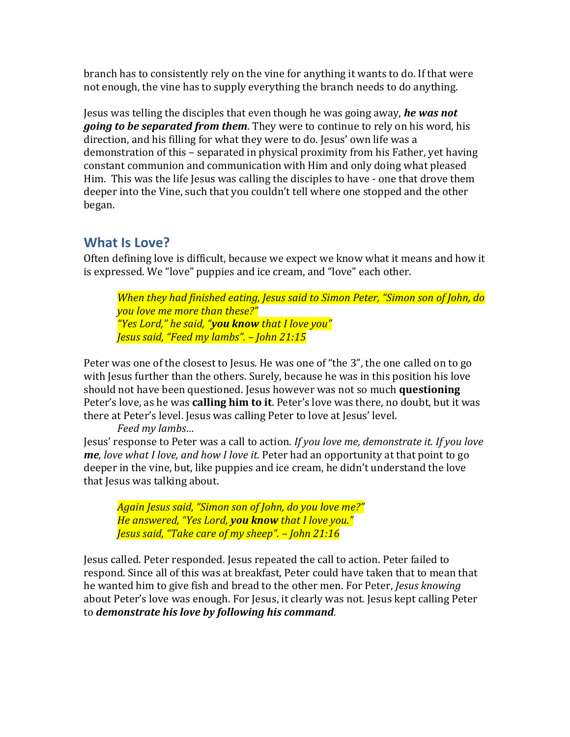branch has to consistently rely on the vine for anything it wants to do. If that were not enough, the vine has to supply everything the branch needs to do anything.

Jesus was telling the disciples that even though he was going away, *he was not going to be separated from them*. They were to continue to rely on his word, his direction, and his filling for what they were to do. Jesus' own life was a demonstration of this – separated in physical proximity from his Father, yet having constant communion and communication with Him and only doing what pleased Him. This was the life Jesus was calling the disciples to have - one that drove them deeper into the Vine, such that you couldn't tell where one stopped and the other began.

# **What Is Love?**

Often defining love is difficult, because we expect we know what it means and how it is expressed. We "love" puppies and ice cream, and "love" each other.

*When they had finished eating, Jesus said to Simon Peter, "Simon son of John, do you love me more than these?" "Yes Lord," he said, "you know that I love you" Jesus said, "Feed my lambs". – John 21:15*

Peter was one of the closest to Jesus. He was one of "the 3", the one called on to go with Jesus further than the others. Surely, because he was in this position his love should not have been questioned. Jesus however was not so much **questioning** Peter's love, as he was **calling him to it**. Peter's love was there, no doubt, but it was there at Peter's level. Jesus was calling Peter to love at Jesus' level.

*Feed my lambs…*

Jesus' response to Peter was a call to action. *If you love me, demonstrate it. If you love me, love what I love, and how I love it.* Peter had an opportunity at that point to go deeper in the vine, but, like puppies and ice cream, he didn't understand the love that Jesus was talking about.

*Again Jesus said, "Simon son of John, do you love me?" He answered, "Yes Lord, you know that I love you." Jesus said, "Take care of my sheep". – John 21:16*

Jesus called. Peter responded. Jesus repeated the call to action. Peter failed to respond. Since all of this was at breakfast, Peter could have taken that to mean that he wanted him to give fish and bread to the other men. For Peter, *Jesus knowing*  about Peter's love was enough. For Jesus, it clearly was not. Jesus kept calling Peter to *demonstrate his love by following his command.*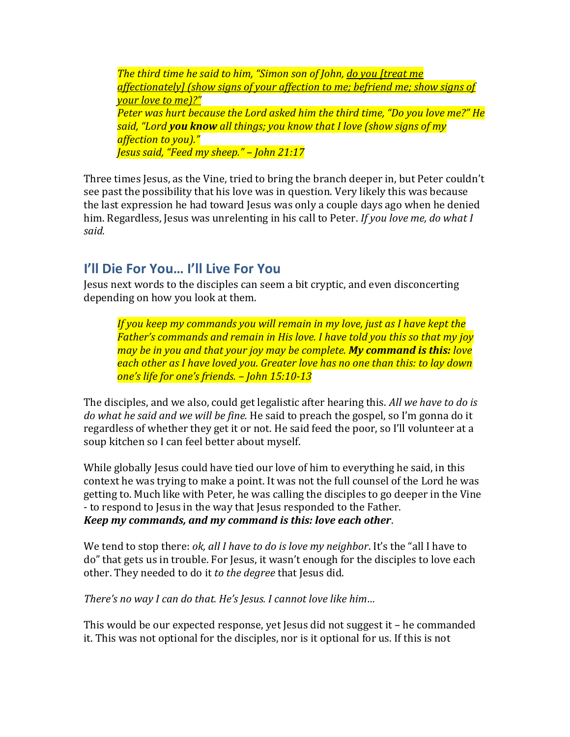*The third time he said to him, "Simon son of John, do you [treat me affectionately] (show signs of your affection to me; befriend me; show signs of your love to me)?" Peter was hurt because the Lord asked him the third time, "Do you love me?" He said, "Lord you know all things; you know that I love (show signs of my affection to you)." Jesus said, "Feed my sheep." – John 21:17*

Three times Jesus, as the Vine, tried to bring the branch deeper in, but Peter couldn't see past the possibility that his love was in question. Very likely this was because the last expression he had toward Jesus was only a couple days ago when he denied him. Regardless, Jesus was unrelenting in his call to Peter. *If you love me, do what I said.*

# **I'll Die For You… I'll Live For You**

Jesus next words to the disciples can seem a bit cryptic, and even disconcerting depending on how you look at them.

*If you keep my commands you will remain in my love, just as I have kept the Father's commands and remain in His love. I have told you this so that my joy may be in you and that your joy may be complete. My command is this: love each other as I have loved you. Greater love has no one than this: to lay down one's life for one's friends. – John 15:10-13*

The disciples, and we also, could get legalistic after hearing this. *All we have to do is do what he said and we will be fine.* He said to preach the gospel, so I'm gonna do it regardless of whether they get it or not. He said feed the poor, so I'll volunteer at a soup kitchen so I can feel better about myself.

While globally Jesus could have tied our love of him to everything he said, in this context he was trying to make a point. It was not the full counsel of the Lord he was getting to. Much like with Peter, he was calling the disciples to go deeper in the Vine - to respond to Jesus in the way that Jesus responded to the Father. *Keep my commands, and my command is this: love each other*.

We tend to stop there: *ok, all I have to do is love my neighbor*. It's the "all I have to do" that gets us in trouble. For Jesus, it wasn't enough for the disciples to love each other. They needed to do it *to the degree* that Jesus did.

*There's no way I can do that. He's Jesus. I cannot love like him…*

This would be our expected response, yet Jesus did not suggest it – he commanded it. This was not optional for the disciples, nor is it optional for us. If this is not